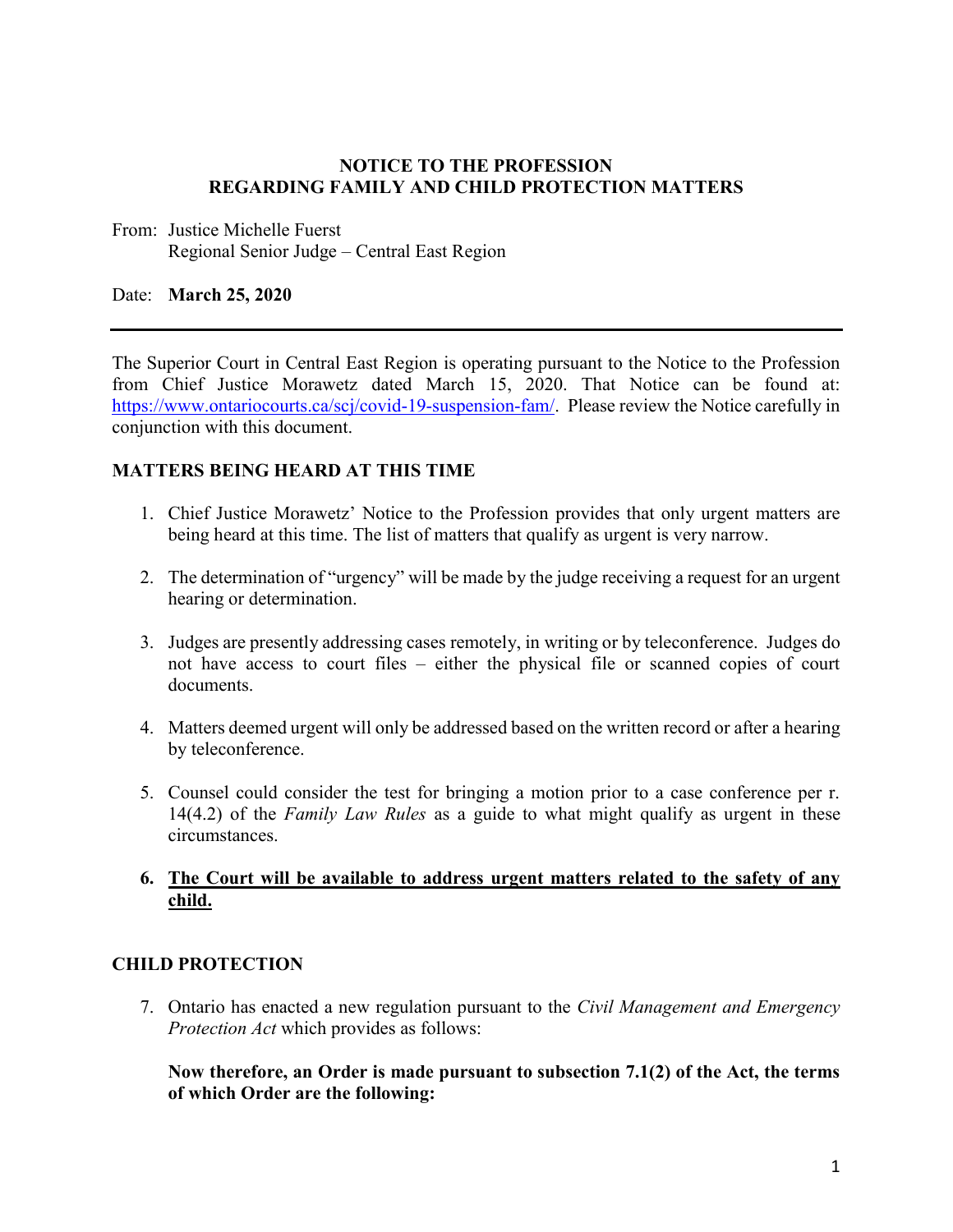### **NOTICE TO THE PROFESSION REGARDING FAMILY AND CHILD PROTECTION MATTERS**

From: Justice Michelle Fuerst Regional Senior Judge – Central East Region

### Date: **March 25, 2020**

The Superior Court in Central East Region is operating pursuant to the Notice to the Profession from Chief Justice Morawetz dated March 15, 2020. That Notice can be found at: [https://www.ontariocourts.ca/scj/covid-19-suspension-fam/.](https://www.ontariocourts.ca/scj/covid-19-suspension-fam/) Please review the Notice carefully in conjunction with this document.

## **MATTERS BEING HEARD AT THIS TIME**

- 1. Chief Justice Morawetz' Notice to the Profession provides that only urgent matters are being heard at this time. The list of matters that qualify as urgent is very narrow.
- 2. The determination of "urgency" will be made by the judge receiving a request for an urgent hearing or determination.
- 3. Judges are presently addressing cases remotely, in writing or by teleconference. Judges do not have access to court files – either the physical file or scanned copies of court documents.
- 4. Matters deemed urgent will only be addressed based on the written record or after a hearing by teleconference.
- 5. Counsel could consider the test for bringing a motion prior to a case conference per r. 14(4.2) of the *Family Law Rules* as a guide to what might qualify as urgent in these circumstances.

## **6. The Court will be available to address urgent matters related to the safety of any child.**

### **CHILD PROTECTION**

7. Ontario has enacted a new regulation pursuant to the *Civil Management and Emergency Protection Act* which provides as follows:

**Now therefore, an Order is made pursuant to subsection 7.1(2) of the Act, the terms of which Order are the following:**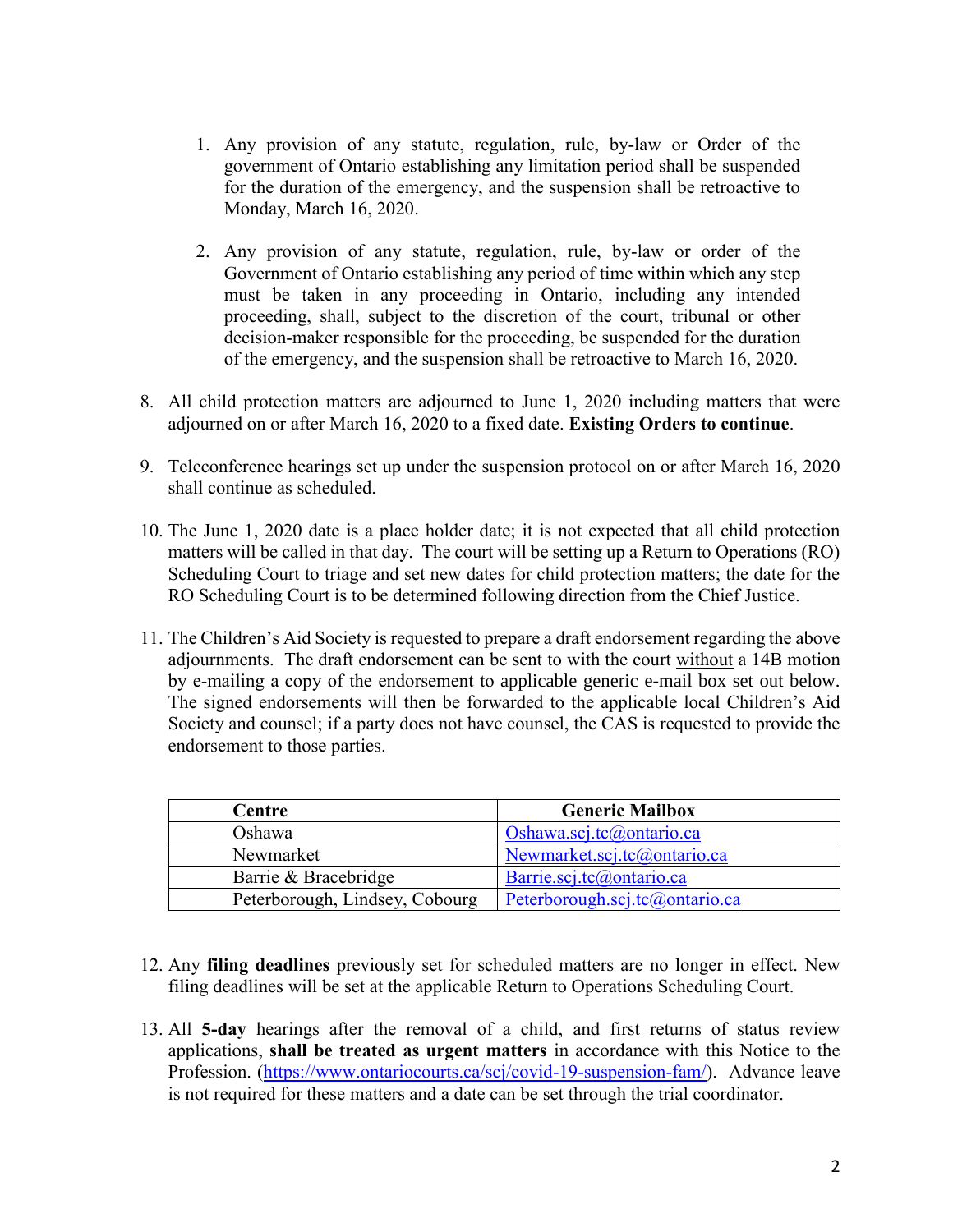- 1. Any provision of any statute, regulation, rule, by-law or Order of the government of Ontario establishing any limitation period shall be suspended for the duration of the emergency, and the suspension shall be retroactive to Monday, March 16, 2020.
- 2. Any provision of any statute, regulation, rule, by-law or order of the Government of Ontario establishing any period of time within which any step must be taken in any proceeding in Ontario, including any intended proceeding, shall, subject to the discretion of the court, tribunal or other decision-maker responsible for the proceeding, be suspended for the duration of the emergency, and the suspension shall be retroactive to March 16, 2020.
- 8. All child protection matters are adjourned to June 1, 2020 including matters that were adjourned on or after March 16, 2020 to a fixed date. **Existing Orders to continue**.
- 9. Teleconference hearings set up under the suspension protocol on or after March 16, 2020 shall continue as scheduled.
- 10. The June 1, 2020 date is a place holder date; it is not expected that all child protection matters will be called in that day. The court will be setting up a Return to Operations (RO) Scheduling Court to triage and set new dates for child protection matters; the date for the RO Scheduling Court is to be determined following direction from the Chief Justice.
- 11. The Children's Aid Society is requested to prepare a draft endorsement regarding the above adjournments. The draft endorsement can be sent to with the court without a 14B motion by e-mailing a copy of the endorsement to applicable generic e-mail box set out below. The signed endorsements will then be forwarded to the applicable local Children's Aid Society and counsel; if a party does not have counsel, the CAS is requested to provide the endorsement to those parties.

| Centre                         | <b>Generic Mailbox</b>         |
|--------------------------------|--------------------------------|
| Oshawa                         | Oshawa.scj.tc@ontario.ca       |
| Newmarket                      | Newmarket.scj.tc@ontario.ca    |
| Barrie & Bracebridge           | Barrie.scj.tc@ontario.ca       |
| Peterborough, Lindsey, Cobourg | Peterborough.scj.tc@ontario.ca |

- 12. Any **filing deadlines** previously set for scheduled matters are no longer in effect. New filing deadlines will be set at the applicable Return to Operations Scheduling Court.
- 13. All **5-day** hearings after the removal of a child, and first returns of status review applications, **shall be treated as urgent matters** in accordance with this Notice to the Profession. [\(https://www.ontariocourts.ca/scj/covid-19-suspension-fam/\)](https://www.ontariocourts.ca/scj/covid-19-suspension-fam/). Advance leave is not required for these matters and a date can be set through the trial coordinator.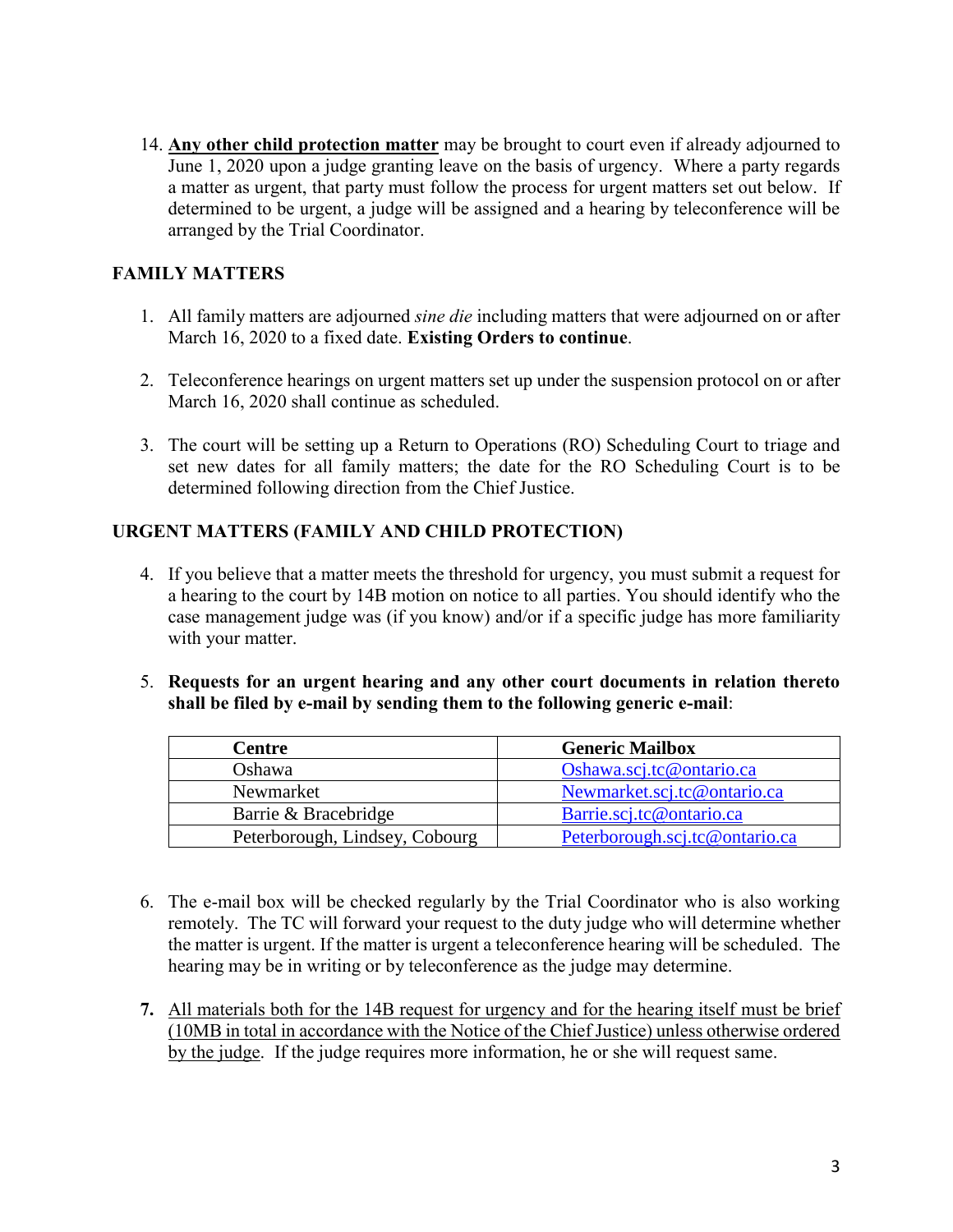14. **Any other child protection matter** may be brought to court even if already adjourned to June 1, 2020 upon a judge granting leave on the basis of urgency. Where a party regards a matter as urgent, that party must follow the process for urgent matters set out below. If determined to be urgent, a judge will be assigned and a hearing by teleconference will be arranged by the Trial Coordinator.

# **FAMILY MATTERS**

- 1. All family matters are adjourned *sine die* including matters that were adjourned on or after March 16, 2020 to a fixed date. **Existing Orders to continue**.
- 2. Teleconference hearings on urgent matters set up under the suspension protocol on or after March 16, 2020 shall continue as scheduled.
- 3. The court will be setting up a Return to Operations (RO) Scheduling Court to triage and set new dates for all family matters; the date for the RO Scheduling Court is to be determined following direction from the Chief Justice.

# **URGENT MATTERS (FAMILY AND CHILD PROTECTION)**

- 4. If you believe that a matter meets the threshold for urgency, you must submit a request for a hearing to the court by 14B motion on notice to all parties. You should identify who the case management judge was (if you know) and/or if a specific judge has more familiarity with your matter.
- 5. **Requests for an urgent hearing and any other court documents in relation thereto shall be filed by e-mail by sending them to the following generic e-mail**:

| <b>Centre</b>                  | <b>Generic Mailbox</b>         |
|--------------------------------|--------------------------------|
| Oshawa                         | Oshawa.scj.tc@ontario.ca       |
| Newmarket                      | Newmarket.scj.tc@ontario.ca    |
| Barrie & Bracebridge           | Barrie.scj.tc@ontario.ca       |
| Peterborough, Lindsey, Cobourg | Peterborough.scj.tc@ontario.ca |

- 6. The e-mail box will be checked regularly by the Trial Coordinator who is also working remotely. The TC will forward your request to the duty judge who will determine whether the matter is urgent. If the matter is urgent a teleconference hearing will be scheduled. The hearing may be in writing or by teleconference as the judge may determine.
- **7.** All materials both for the 14B request for urgency and for the hearing itself must be brief (10MB in total in accordance with the Notice of the Chief Justice) unless otherwise ordered by the judge. If the judge requires more information, he or she will request same.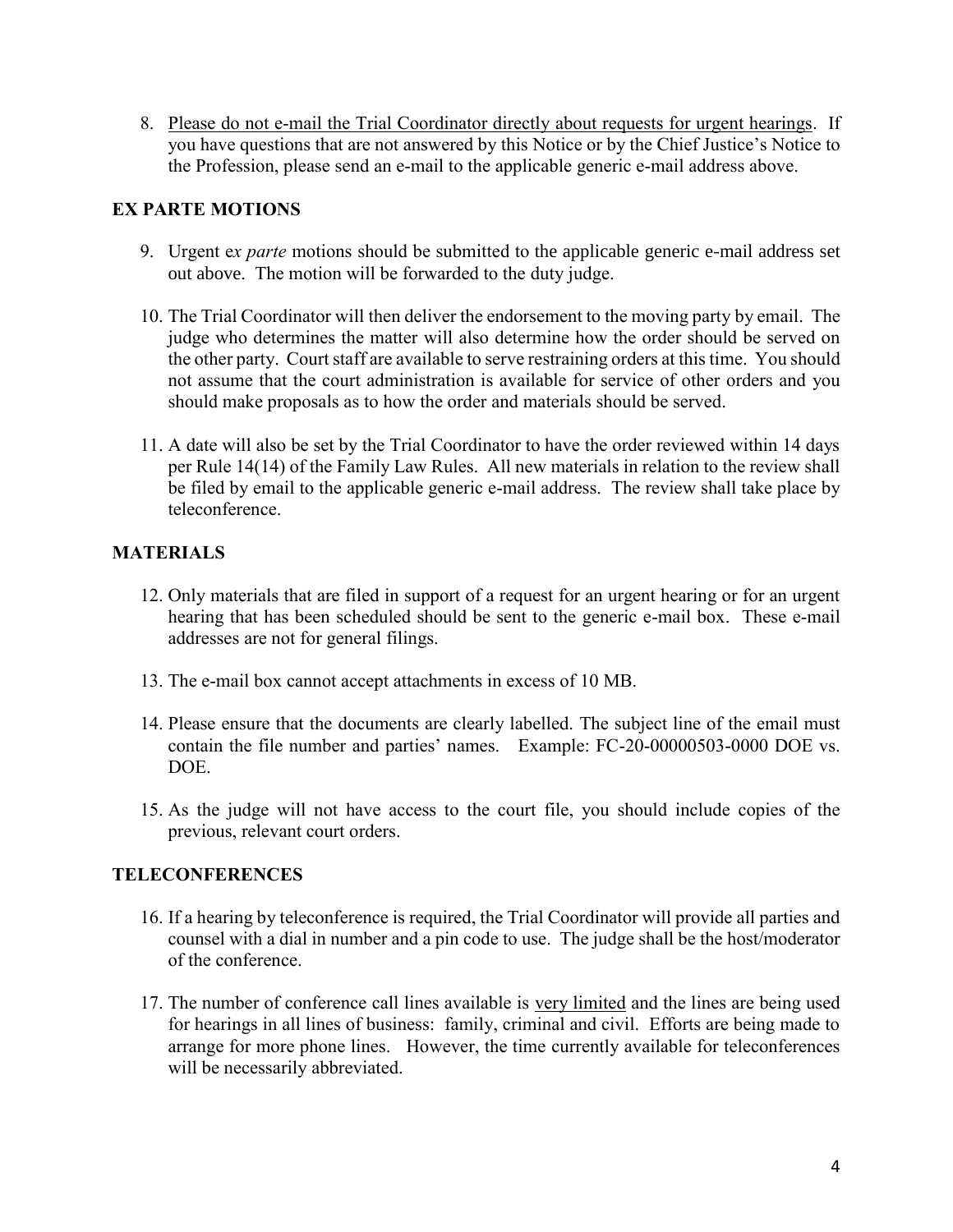8. Please do not e-mail the Trial Coordinator directly about requests for urgent hearings. If you have questions that are not answered by this Notice or by the Chief Justice's Notice to the Profession, please send an e-mail to the applicable generic e-mail address above.

## **EX PARTE MOTIONS**

- 9. Urgent e*x parte* motions should be submitted to the applicable generic e-mail address set out above. The motion will be forwarded to the duty judge.
- 10. The Trial Coordinator will then deliver the endorsement to the moving party by email. The judge who determines the matter will also determine how the order should be served on the other party. Court staff are available to serve restraining orders at this time. You should not assume that the court administration is available for service of other orders and you should make proposals as to how the order and materials should be served.
- 11. A date will also be set by the Trial Coordinator to have the order reviewed within 14 days per Rule 14(14) of the Family Law Rules. All new materials in relation to the review shall be filed by email to the applicable generic e-mail address. The review shall take place by teleconference.

# **MATERIALS**

- 12. Only materials that are filed in support of a request for an urgent hearing or for an urgent hearing that has been scheduled should be sent to the generic e-mail box. These e-mail addresses are not for general filings.
- 13. The e-mail box cannot accept attachments in excess of 10 MB.
- 14. Please ensure that the documents are clearly labelled. The subject line of the email must contain the file number and parties' names. Example: FC-20-00000503-0000 DOE vs. DOE.
- 15. As the judge will not have access to the court file, you should include copies of the previous, relevant court orders.

## **TELECONFERENCES**

- 16. If a hearing by teleconference is required, the Trial Coordinator will provide all parties and counsel with a dial in number and a pin code to use. The judge shall be the host/moderator of the conference.
- 17. The number of conference call lines available is very limited and the lines are being used for hearings in all lines of business: family, criminal and civil. Efforts are being made to arrange for more phone lines. However, the time currently available for teleconferences will be necessarily abbreviated.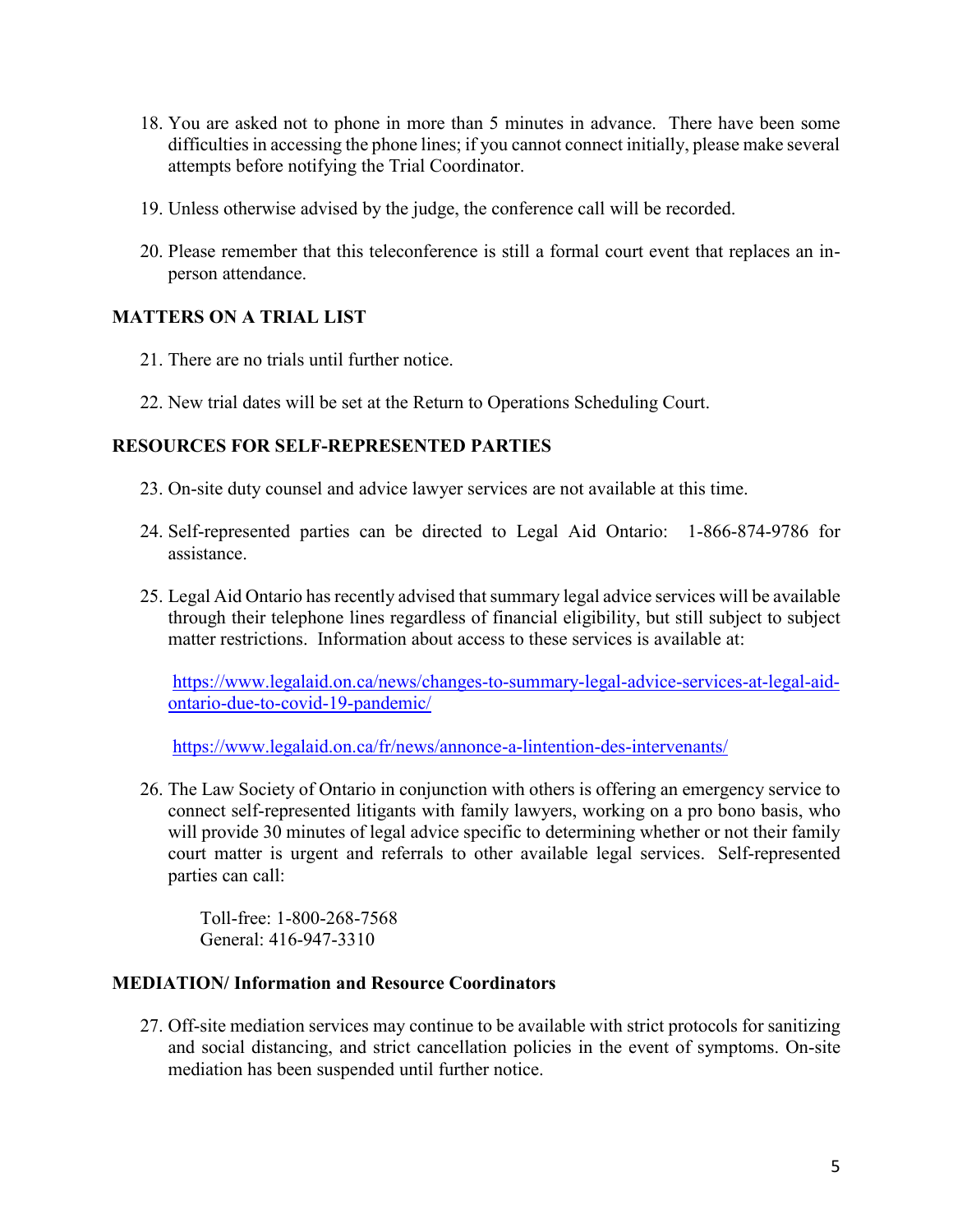- 18. You are asked not to phone in more than 5 minutes in advance. There have been some difficulties in accessing the phone lines; if you cannot connect initially, please make several attempts before notifying the Trial Coordinator.
- 19. Unless otherwise advised by the judge, the conference call will be recorded.
- 20. Please remember that this teleconference is still a formal court event that replaces an inperson attendance.

## **MATTERS ON A TRIAL LIST**

- 21. There are no trials until further notice.
- 22. New trial dates will be set at the Return to Operations Scheduling Court.

### **RESOURCES FOR SELF-REPRESENTED PARTIES**

- 23. On-site duty counsel and advice lawyer services are not available at this time.
- 24. Self-represented parties can be directed to Legal Aid Ontario: 1-866-874-9786 for assistance.
- 25. Legal Aid Ontario has recently advised that summary legal advice services will be available through their telephone lines regardless of financial eligibility, but still subject to subject matter restrictions. Information about access to these services is available at:

[https://www.legalaid.on.ca/news/changes-to-summary-legal-advice-services-at-legal-aid](https://can01.safelinks.protection.outlook.com/?url=https%3A%2F%2Fwww.legalaid.on.ca%2Fnews%2Fchanges-to-summary-legal-advice-services-at-legal-aid-ontario-due-to-covid-19-pandemic%2F&data=02%7C01%7CVaia.Pappas%40ontario.ca%7C80c538d72f8d45fd9a4008d7d04cc9d3%7Ccddc1229ac2a4b97b78a0e5cacb5865c%7C0%7C0%7C637206900525587081&sdata=6hknX3bbZqdq9JtWgXCqms%2FV2XHzE%2BWHJBzhM3DjV6g%3D&reserved=0)[ontario-due-to-covid-19-pandemic/](https://can01.safelinks.protection.outlook.com/?url=https%3A%2F%2Fwww.legalaid.on.ca%2Fnews%2Fchanges-to-summary-legal-advice-services-at-legal-aid-ontario-due-to-covid-19-pandemic%2F&data=02%7C01%7CVaia.Pappas%40ontario.ca%7C80c538d72f8d45fd9a4008d7d04cc9d3%7Ccddc1229ac2a4b97b78a0e5cacb5865c%7C0%7C0%7C637206900525587081&sdata=6hknX3bbZqdq9JtWgXCqms%2FV2XHzE%2BWHJBzhM3DjV6g%3D&reserved=0)

<https://www.legalaid.on.ca/fr/news/annonce-a-lintention-des-intervenants/>

26. The Law Society of Ontario in conjunction with others is offering an emergency service to connect self-represented litigants with family lawyers, working on a pro bono basis, who will provide 30 minutes of legal advice specific to determining whether or not their family court matter is urgent and referrals to other available legal services. Self-represented parties can call:

Toll-free: 1-800-268-7568 General: 416-947-3310

### **MEDIATION/ Information and Resource Coordinators**

27. Off-site mediation services may continue to be available with strict protocols for sanitizing and social distancing, and strict cancellation policies in the event of symptoms. On-site mediation has been suspended until further notice.